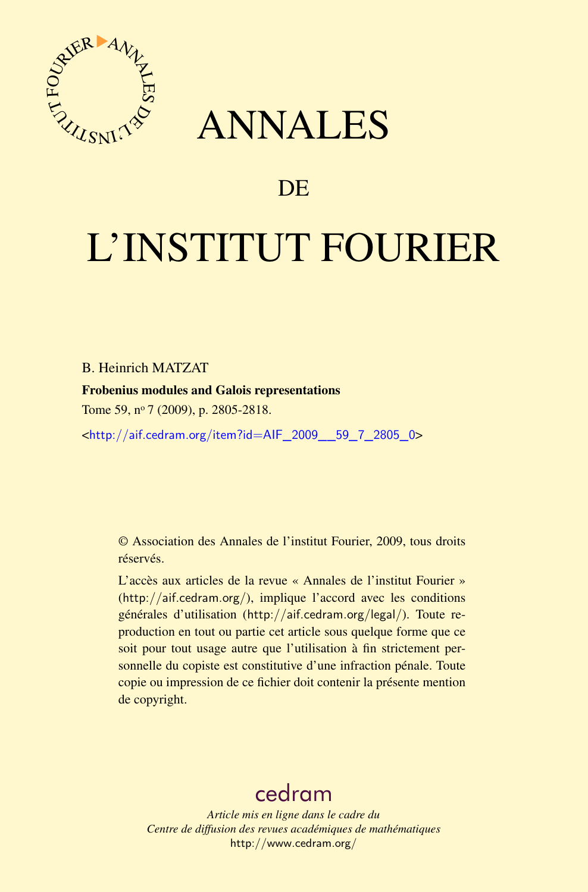

## ANNALES

## **DE**

# L'INSTITUT FOURIER

#### B. Heinrich MATZAT

#### Frobenius modules and Galois representations

Tome 59, nº 7 (2009), p. 2805-2818.

<[http://aif.cedram.org/item?id=AIF\\_2009\\_\\_59\\_7\\_2805\\_0](http://aif.cedram.org/item?id=AIF_2009__59_7_2805_0)>

© Association des Annales de l'institut Fourier, 2009, tous droits réservés.

L'accès aux articles de la revue « Annales de l'institut Fourier » (<http://aif.cedram.org/>), implique l'accord avec les conditions générales d'utilisation (<http://aif.cedram.org/legal/>). Toute reproduction en tout ou partie cet article sous quelque forme que ce soit pour tout usage autre que l'utilisation à fin strictement personnelle du copiste est constitutive d'une infraction pénale. Toute copie ou impression de ce fichier doit contenir la présente mention de copyright.

## [cedram](http://www.cedram.org/)

*Article mis en ligne dans le cadre du Centre de diffusion des revues académiques de mathématiques* <http://www.cedram.org/>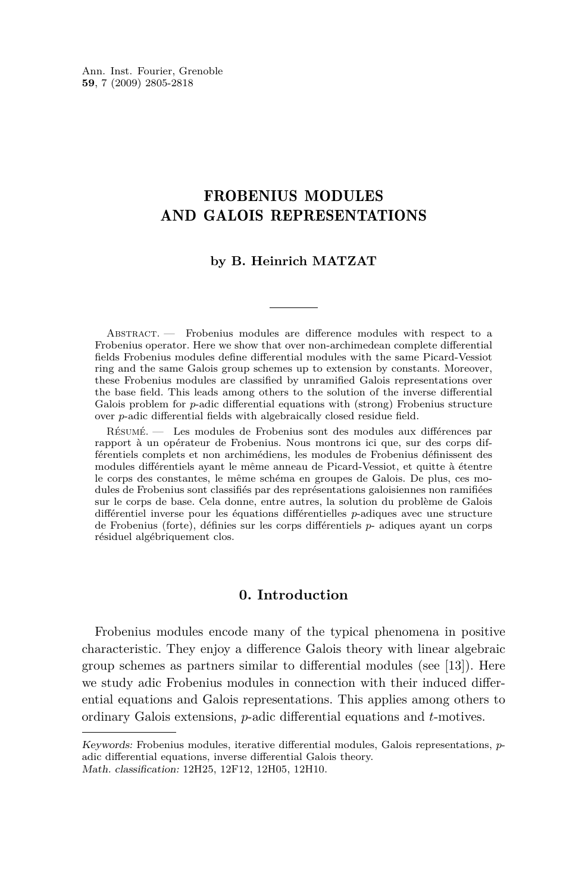### FROBENIUS MODULES AND GALOIS REPRESENTATIONS

#### **by B. Heinrich MATZAT**

Abstract. — Frobenius modules are difference modules with respect to a Frobenius operator. Here we show that over non-archimedean complete differential fields Frobenius modules define differential modules with the same Picard-Vessiot ring and the same Galois group schemes up to extension by constants. Moreover, these Frobenius modules are classified by unramified Galois representations over the base field. This leads among others to the solution of the inverse differential Galois problem for *p*-adic differential equations with (strong) Frobenius structure over *p*-adic differential fields with algebraically closed residue field.

Résumé. — Les modules de Frobenius sont des modules aux différences par rapport à un opérateur de Frobenius. Nous montrons ici que, sur des corps différentiels complets et non archimédiens, les modules de Frobenius définissent des modules différentiels ayant le même anneau de Picard-Vessiot, et quitte à étentre le corps des constantes, le même schéma en groupes de Galois. De plus, ces modules de Frobenius sont classifiés par des représentations galoisiennes non ramifiées sur le corps de base. Cela donne, entre autres, la solution du problème de Galois différentiel inverse pour les équations différentielles *p*-adiques avec une structure de Frobenius (forte), définies sur les corps différentiels *p*- adiques ayant un corps résiduel algébriquement clos.

#### **0. Introduction**

Frobenius modules encode many of the typical phenomena in positive characteristic. They enjoy a difference Galois theory with linear algebraic group schemes as partners similar to differential modules (see [\[13\]](#page-14-0)). Here we study adic Frobenius modules in connection with their induced differential equations and Galois representations. This applies among others to ordinary Galois extensions, *p*-adic differential equations and *t*-motives.

Keywords: Frobenius modules, iterative differential modules, Galois representations, *p*adic differential equations, inverse differential Galois theory. Math. classification: 12H25, 12F12, 12H05, 12H10.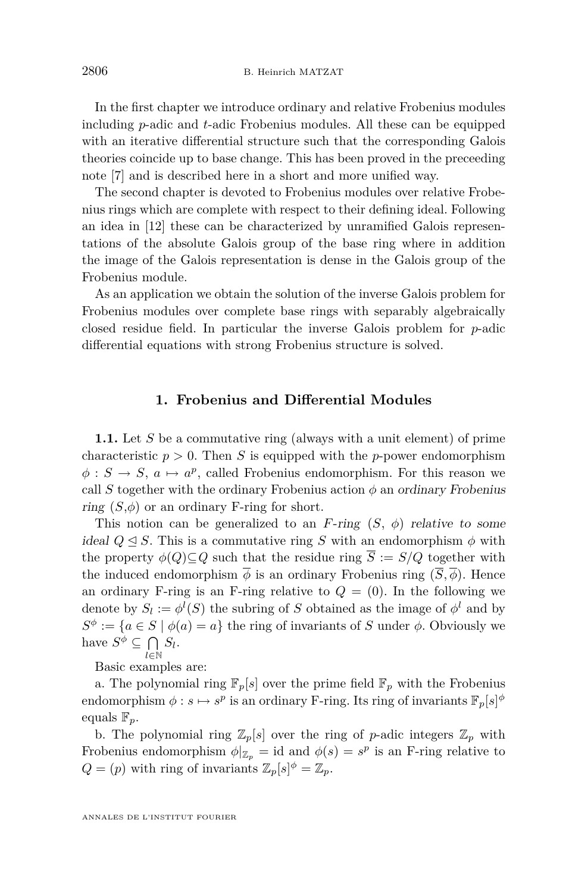<span id="page-2-0"></span>In the first chapter we introduce ordinary and relative Frobenius modules including *p*-adic and *t*-adic Frobenius modules. All these can be equipped with an iterative differential structure such that the corresponding Galois theories coincide up to base change. This has been proved in the preceeding note [\[7\]](#page-14-0) and is described here in a short and more unified way.

The second chapter is devoted to Frobenius modules over relative Frobenius rings which are complete with respect to their defining ideal. Following an idea in [\[12\]](#page-14-0) these can be characterized by unramified Galois representations of the absolute Galois group of the base ring where in addition the image of the Galois representation is dense in the Galois group of the Frobenius module.

As an application we obtain the solution of the inverse Galois problem for Frobenius modules over complete base rings with separably algebraically closed residue field. In particular the inverse Galois problem for *p*-adic differential equations with strong Frobenius structure is solved.

#### **1. Frobenius and Differential Modules**

**1.1.** Let *S* be a commutative ring (always with a unit element) of prime characteristic  $p > 0$ . Then *S* is equipped with the *p*-power endomorphism  $\phi : S \to S$ ,  $a \mapsto a^p$ , called Frobenius endomorphism. For this reason we call *S* together with the ordinary Frobenius action  $\phi$  an ordinary Frobenius ring  $(S, \phi)$  or an ordinary F-ring for short.

This notion can be generalized to an *F*-ring  $(S, \phi)$  relative to some ideal  $Q \triangleleft S$ . This is a commutative ring *S* with an endomorphism  $\phi$  with the property  $\phi(Q) \subseteq Q$  such that the residue ring  $\overline{S} := S/Q$  together with the induced endomorphism  $\overline{\phi}$  is an ordinary Frobenius ring  $(\overline{S}, \overline{\phi})$ . Hence an ordinary F-ring is an F-ring relative to  $Q = (0)$ . In the following we denote by  $S_l := \phi^l(S)$  the subring of *S* obtained as the image of  $\phi^l$  and by  $S^{\phi} := \{a \in S \mid \phi(a) = a\}$  the ring of invariants of *S* under  $\phi$ . Obviously we have  $S^{\phi} \subseteq \bigcap$  $\bigcap_{l \in \mathbb{N}} S_l$ .

Basic examples are:

a. The polynomial ring  $\mathbb{F}_p[s]$  over the prime field  $\mathbb{F}_p$  with the Frobenius endomorphism  $\phi: s \mapsto s^p$  is an ordinary F-ring. Its ring of invariants  $\mathbb{F}_p[s]^{\phi}$ equals F*p*.

b. The polynomial ring  $\mathbb{Z}_p[s]$  over the ring of *p*-adic integers  $\mathbb{Z}_p$  with Frobenius endomorphism  $\phi|_{\mathbb{Z}_p} = id$  and  $\phi(s) = s^p$  is an F-ring relative to  $Q = (p)$  with ring of invariants  $\mathbb{Z}_p[s]^\phi = \mathbb{Z}_p$ .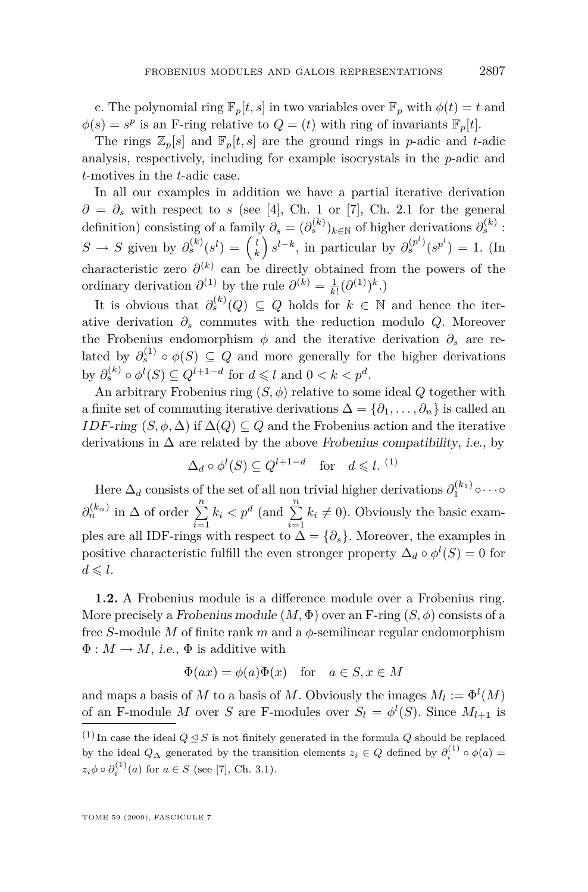c. The polynomial ring  $\mathbb{F}_p[t,s]$  in two variables over  $\mathbb{F}_p$  with  $\phi(t) = t$  and  $\phi(s) = s^p$  is an F-ring relative to  $Q = (t)$  with ring of invariants  $\mathbb{F}_p[t]$ .

The rings  $\mathbb{Z}_p[s]$  and  $\mathbb{F}_p[t,s]$  are the ground rings in *p*-adic and *t*-adic analysis, respectively, including for example isocrystals in the *p*-adic and *t*-motives in the *t*-adic case.

In all our examples in addition we have a partial iterative derivation  $\partial = \partial_s$  with respect to *s* (see [\[4\]](#page-14-0), Ch. 1 or [\[7\]](#page-14-0), Ch. 2.1 for the general definition) consisting of a family  $\partial_s = (\partial_s^{(k)})_{k \in \mathbb{N}}$  of higher derivations  $\partial_s^{(k)}$ :  $S \to S$  given by  $\partial_s^{(k)}(s^l) = \binom{l}{k} s^{l-k}$ , in particular by  $\partial_s^{(p^l)}(s^{p^l}) = 1$ . (In characteristic zero  $\partial^{(k)}$  can be directly obtained from the powers of the ordinary derivation  $\partial^{(1)}$  by the rule  $\partial^{(k)} = \frac{1}{k!} (\partial^{(1)})^k$ .

It is obvious that  $\partial_s^{(k)}(Q) \subseteq Q$  holds for  $k \in \mathbb{N}$  and hence the iterative derivation  $\partial_s$  commutes with the reduction modulo *Q*. Moreover the Frobenius endomorphism  $\phi$  and the iterative derivation  $\partial_s$  are related by  $\partial_s^{(1)} \circ \phi(S) \subseteq Q$  and more generally for the higher derivations by  $\partial_s^{(k)} \circ \phi^l(S) \subseteq Q^{l+1-d}$  for  $d \leq l$  and  $0 < k < p^d$ .

An arbitrary Frobenius ring  $(S, \phi)$  relative to some ideal  $Q$  together with a finite set of commuting iterative derivations  $\Delta = {\partial_1, \ldots, \partial_n}$  is called an *IDF*-ring  $(S, \phi, \Delta)$  if  $\Delta(Q) \subseteq Q$  and the Frobenius action and the iterative derivations in  $\Delta$  are related by the above Frobenius compatibility, i.e., by

$$
\Delta_d \circ \phi^l(S) \subseteq Q^{l+1-d} \quad \text{for} \quad d \leq l. \tag{1}
$$

Here  $\Delta_d$  consists of the set of all non trivial higher derivations  $\partial_1^{(k_1)} \circ \cdots \circ$  $\partial_n^{(k_n)}$  in  $\Delta$  of order  $\sum_{i=1}^n k_i < p^d$  (and  $\sum_{i=1}^n$  $\sum_{i=1} k_i \neq 0$ . Obviously the basic examples are all IDF-rings with respect to  $\overline{\Delta} = {\partial_s}$ . Moreover, the examples in positive characteristic fulfill the even stronger property  $\Delta_d \circ \phi^l(S) = 0$  for  $d \leqslant l$ .

**1.2.** A Frobenius module is a difference module over a Frobenius ring. More precisely a Frobenius module  $(M, \Phi)$  over an F-ring  $(S, \phi)$  consists of a free *S*-module *M* of finite rank *m* and a *φ*-semilinear regular endomorphism  $\Phi: M \to M$ , *i.e.*,  $\Phi$  is additive with

$$
\Phi(ax) = \phi(a)\Phi(x) \quad \text{for} \quad a \in S, x \in M
$$

and maps a basis of *M* to a basis of *M*. Obviously the images  $M_l := \Phi^l(M)$ of an F-module *M* over *S* are F-modules over  $S_l = \phi^l(S)$ . Since  $M_{l+1}$  is

<sup>&</sup>lt;sup>(1)</sup> In case the ideal  $Q \trianglelefteq S$  is not finitely generated in the formula *Q* should be replaced by the ideal  $Q_{\Delta}$  generated by the transition elements  $z_i \in Q$  defined by  $\partial_i^{(1)} \circ \phi(a) =$  $z_i \phi \circ \partial_i^{(1)}(a)$  for  $a \in S$  (see [\[7\]](#page-14-0), Ch. 3.1).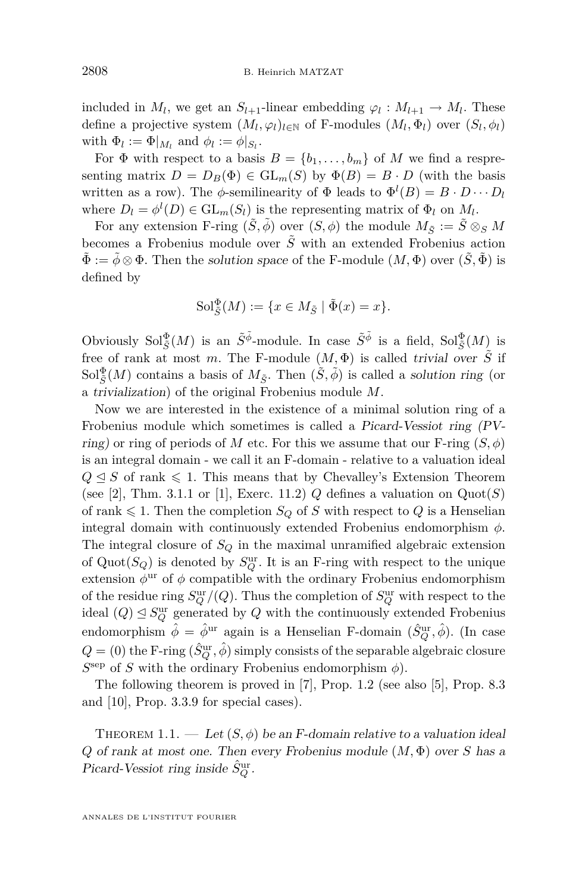<span id="page-4-0"></span>included in  $M_l$ , we get an  $S_{l+1}$ -linear embedding  $\varphi_l : M_{l+1} \to M_l$ . These define a projective system  $(M_l, \varphi_l)_{l \in \mathbb{N}}$  of F-modules  $(M_l, \Phi_l)$  over  $(S_l, \phi_l)$ with  $\Phi_l := \Phi|_{M_l}$  and  $\phi_l := \phi|_{S_l}$ .

For  $\Phi$  with respect to a basis  $B = \{b_1, \ldots, b_m\}$  of M we find a respresenting matrix  $D = D_B(\Phi) \in GL_m(S)$  by  $\Phi(B) = B \cdot D$  (with the basis written as a row). The  $\phi$ -semilinearity of  $\Phi$  leads to  $\Phi^l(B) = B \cdot D \cdots D_l$ where  $D_l = \phi^l(D) \in GL_m(S_l)$  is the representing matrix of  $\Phi_l$  on  $M_l$ .

For any extension F-ring  $(\tilde{S}, \tilde{\phi})$  over  $(S, \phi)$  the module  $M_{\tilde{S}} := \tilde{S} \otimes_S M$ becomes a Frobenius module over  $\tilde{S}$  with an extended Frobenius action  $\tilde{\Phi} := \tilde{\phi} \otimes \Phi$ . Then the solution space of the F-module  $(M, \Phi)$  over  $(\tilde{S}, \tilde{\Phi})$  is defined by

$$
\mathrm{Sol}_{\tilde{S}}^{\Phi}(M) := \{ x \in M_{\tilde{S}} \mid \tilde{\Phi}(x) = x \}.
$$

Obviously  $Sol^{\Phi}_{\tilde{S}}(M)$  is an  $\tilde{S}^{\tilde{\phi}}$ -module. In case  $\tilde{S}^{\tilde{\phi}}$  is a field,  $Sol^{\Phi}_{\tilde{S}}(M)$  is free of rank at most *m*. The F-module  $(M, \Phi)$  is called trivial over  $\tilde{S}$  if  $Sol^{\Phi}_{\tilde{S}}(M)$  contains a basis of  $M_{\tilde{S}}$ . Then  $(\tilde{S}, \tilde{\phi})$  is called a solution ring (or a trivialization) of the original Frobenius module *M*.

Now we are interested in the existence of a minimal solution ring of a Frobenius module which sometimes is called a Picard-Vessiot ring (PVring) or ring of periods of *M* etc. For this we assume that our F-ring  $(S, \phi)$ is an integral domain - we call it an F-domain - relative to a valuation ideal  $Q \triangleleft S$  of rank  $\leq 1$ . This means that by Chevalley's Extension Theorem (see [\[2\]](#page-14-0), Thm. 3.1.1 or [\[1\]](#page-14-0), Exerc. 11.2)  $Q$  defines a valuation on  $Quot(S)$ of rank  $\leq 1$ . Then the completion *S*<sup>*Q*</sup> of *S* with respect to *Q* is a Henselian integral domain with continuously extended Frobenius endomorphism *φ*. The integral closure of *S<sup>Q</sup>* in the maximal unramified algebraic extension of  $Quot(S_Q)$  is denoted by  $S_Q^{\text{ur}}$ . It is an F-ring with respect to the unique extension  $\phi$ <sup>ur</sup> of  $\phi$  compatible with the ordinary Frobenius endomorphism of the residue ring  $S^{\text{ur}}_Q/(Q)$ . Thus the completion of  $S^{\text{ur}}_Q$  with respect to the ideal  $(Q) \leq S^{\text{ur}}_Q$  generated by  $Q$  with the continuously extended Frobenius endomorphism  $\hat{\phi} = \hat{\phi}^{ur}$  again is a Henselian F-domain  $(\hat{S}_Q^{ur}, \hat{\phi})$ . (In case  $Q = (0)$  the F-ring  $(\hat{S}_Q^{\mathrm{ur}}, \hat{\phi})$  simply consists of the separable algebraic closure  $S^{\text{sep}}$  of *S* with the ordinary Frobenius endomorphism  $\phi$ ).

The following theorem is proved in [\[7\]](#page-14-0), Prop. 1.2 (see also [\[5\]](#page-14-0), Prop. 8.3 and [\[10\]](#page-14-0), Prop. 3.3.9 for special cases).

THEOREM 1.1. — Let  $(S, \phi)$  be an F-domain relative to a valuation ideal *Q* of rank at most one. Then every Frobenius module (*M,* Φ) over *S* has a Picard-Vessiot ring inside  $\hat{S}_Q^{\text{ur}}$ .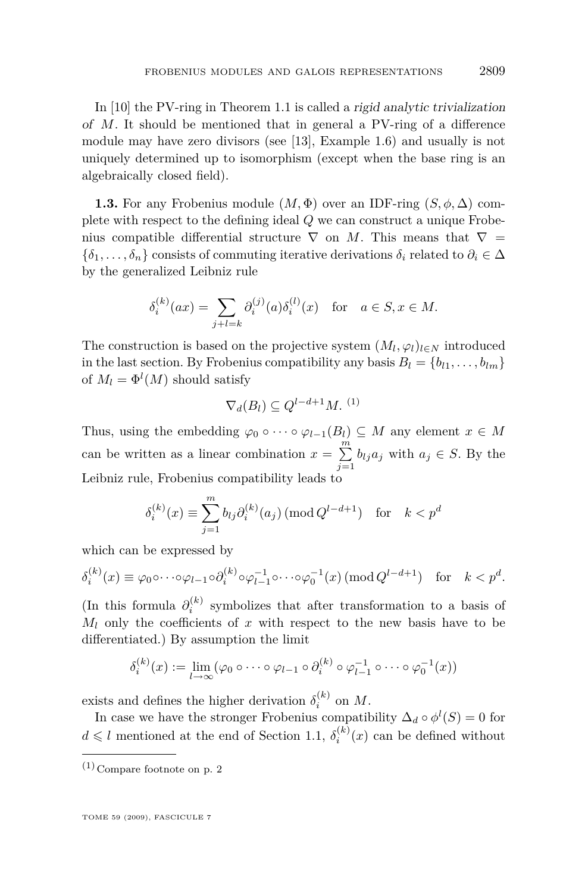In [\[10\]](#page-14-0) the PV-ring in Theorem [1.1](#page-4-0) is called a rigid analytic trivialization of *M*. It should be mentioned that in general a PV-ring of a difference module may have zero divisors (see [\[13\]](#page-14-0), Example 1.6) and usually is not uniquely determined up to isomorphism (except when the base ring is an algebraically closed field).

**1.3.** For any Frobenius module  $(M, \Phi)$  over an IDF-ring  $(S, \phi, \Delta)$  complete with respect to the defining ideal *Q* we can construct a unique Frobenius compatible differential structure  $\nabla$  on *M*. This means that  $\nabla$  =  $\{\delta_1, \ldots, \delta_n\}$  consists of commuting iterative derivations  $\delta_i$  related to  $\partial_i \in \Delta$ by the generalized Leibniz rule

$$
\delta_i^{(k)}(ax) = \sum_{j+l=k} \partial_i^{(j)}(a)\delta_i^{(l)}(x) \text{ for } a \in S, x \in M.
$$

The construction is based on the projective system  $(M_l, \varphi_l)_{l \in N}$  introduced in the last section. By Frobenius compatibility any basis  $B_l = \{b_{l1}, \ldots, b_{lm}\}$ of  $M_l = \Phi^l(M)$  should satisfy

$$
\nabla_d(B_l) \subseteq Q^{l-d+1}M. \tag{1}
$$

Thus, using the embedding  $\varphi_0 \circ \cdots \circ \varphi_{l-1}(B_l) \subseteq M$  any element  $x \in M$ can be written as a linear combination  $x = \sum_{n=1}^{m}$  $\sum_{j=1}$  *b*<sub>*l*</sub>*ja*<sub>*j*</sub> with *a*<sub>*j*</sub>  $\in$  *S*. By the Leibniz rule, Frobenius compatibility leads to

$$
\delta_i^{(k)}(x) \equiv \sum_{j=1}^m b_{lj} \partial_i^{(k)}(a_j) \left( \text{mod } Q^{l-d+1} \right) \text{ for } k < p^d
$$

which can be expressed by

$$
\delta_i^{(k)}(x) \equiv \varphi_0 \circ \cdots \circ \varphi_{l-1} \circ \partial_i^{(k)} \circ \varphi_{l-1}^{-1} \circ \cdots \circ \varphi_0^{-1}(x) \, (\text{mod } Q^{l-d+1}) \quad \text{for} \quad k < p^d.
$$

(In this formula  $\partial_i^{(k)}$  symbolizes that after transformation to a basis of  $M_l$  only the coefficients of  $x$  with respect to the new basis have to be differentiated.) By assumption the limit

$$
\delta_i^{(k)}(x) := \lim_{l \to \infty} (\varphi_0 \circ \cdots \circ \varphi_{l-1} \circ \partial_i^{(k)} \circ \varphi_{l-1}^{-1} \circ \cdots \circ \varphi_0^{-1}(x))
$$

exists and defines the higher derivation  $\delta_i^{(k)}$  on M.

In case we have the stronger Frobenius compatibility  $\Delta_d \circ \phi^l(S) = 0$  for  $d \leq l$  mentioned at the end of Section [1.1,](#page-2-0)  $\delta_i^{(k)}(x)$  can be defined without

 $\left(1\right)$  Compare footnote on p. 2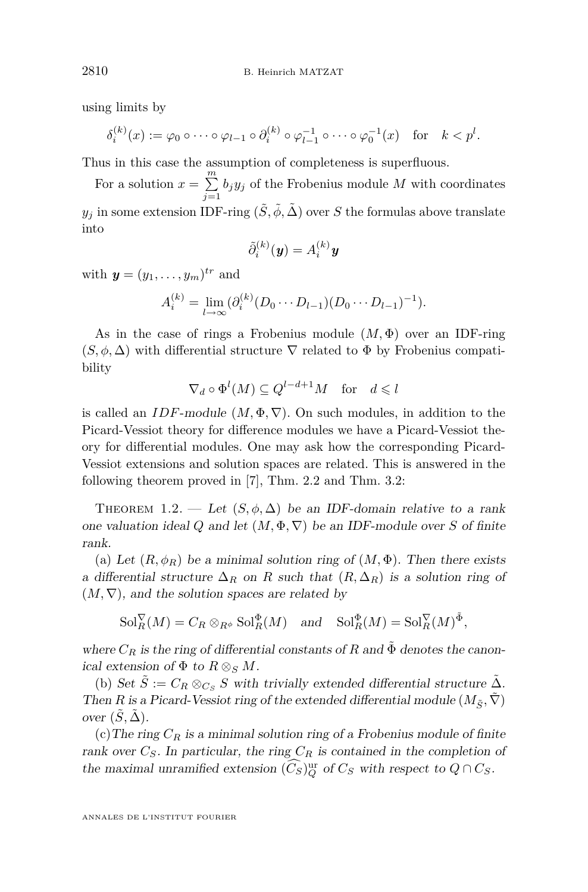<span id="page-6-0"></span>using limits by

$$
\delta_i^{(k)}(x) := \varphi_0 \circ \cdots \circ \varphi_{l-1} \circ \partial_i^{(k)} \circ \varphi_{l-1}^{-1} \circ \cdots \circ \varphi_0^{-1}(x) \quad \text{for} \quad k < p^l.
$$

Thus in this case the assumption of completeness is superfluous.

For a solution  $x = \sum_{n=1}^{m}$  $\sum_{j=1} b_j y_j$  of the Frobenius module *M* with coordinates  $y_j$  in some extension IDF-ring  $(\tilde{S},\tilde{\phi},\tilde{\Delta})$  over  $S$  the formulas above translate into

$$
\tilde{\partial}_i^{(k)}(\pmb{y})=A_i^{(k)}\pmb{y}
$$

with  $y = (y_1, \ldots, y_m)^{tr}$  and

 $A_i^{(k)} = \lim_{l \to \infty} (\partial_i^{(k)} (D_0 \cdots D_{l-1}) (D_0 \cdots D_{l-1})^{-1}).$ 

As in the case of rings a Frobenius module (*M,* Φ) over an IDF-ring  $(S, \phi, \Delta)$  with differential structure  $\nabla$  related to  $\Phi$  by Frobenius compatibility

$$
\nabla_d \circ \Phi^l(M) \subseteq Q^{l-d+1}M \quad \text{for} \quad d \leqslant l
$$

is called an *IDF*-module  $(M, \Phi, \nabla)$ . On such modules, in addition to the Picard-Vessiot theory for difference modules we have a Picard-Vessiot theory for differential modules. One may ask how the corresponding Picard-Vessiot extensions and solution spaces are related. This is answered in the following theorem proved in [\[7\]](#page-14-0), Thm. 2.2 and Thm. 3.2:

THEOREM 1.2. — Let  $(S, \phi, \Delta)$  be an IDF-domain relative to a rank one valuation ideal *Q* and let  $(M, \Phi, \nabla)$  be an IDF-module over *S* of finite rank.

(a) Let  $(R, \phi_R)$  be a minimal solution ring of  $(M, \Phi)$ . Then there exists a differential structure  $\Delta_R$  on R such that  $(R, \Delta_R)$  is a solution ring of  $(M, \nabla)$ , and the solution spaces are related by

 $\text{Sol}_{R}^{\nabla}(M) = C_R \otimes_{R^{\phi}} \text{Sol}_{R}^{\Phi}(M) \text{ and } \text{Sol}_{R}^{\Phi}(M) = \text{Sol}_{R}^{\nabla}(M)^{\tilde{\Phi}},$ 

where  $C_R$  is the ring of differential constants of R and  $\Phi$  denotes the canonical extension of  $\Phi$  to  $R \otimes_S M$ .

(b) Set  $S := C_R \otimes_{C_S} S$  with trivially extended differential structure  $\Delta$ . Then *R* is a Picard-Vessiot ring of the extended differential module  $(M_{\tilde{S}}, \tilde{\nabla})$ over  $(\tilde{S}, \tilde{\Delta})$ .

(c) The ring  $C_R$  is a minimal solution ring of a Frobenius module of finite rank over  $C_S$ . In particular, the ring  $C_R$  is contained in the completion of the maximal unramified extension  $(\widetilde{C}_S)^{\text{ur}}_{Q}$  of  $C_S$  with respect to  $Q \cap C_S$ .

ANNALES DE L'INSTITUT FOURIER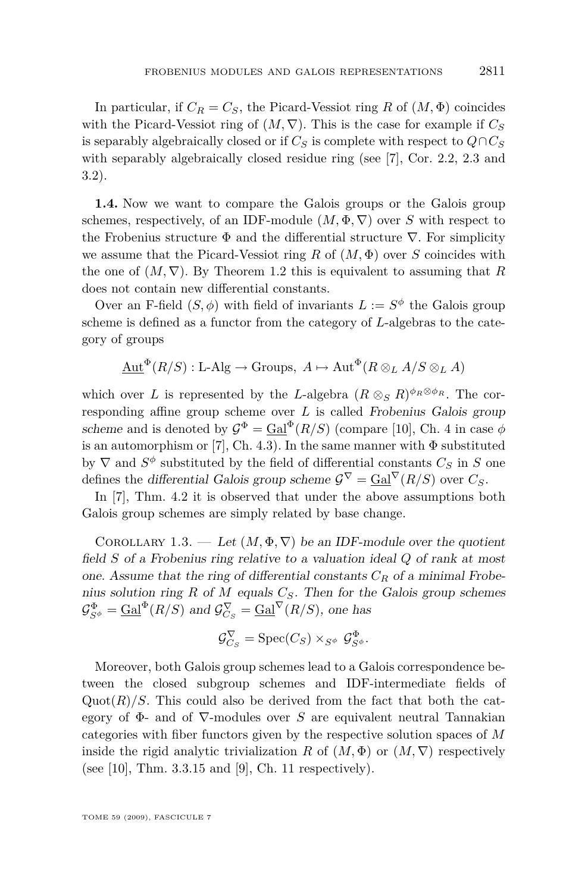In particular, if  $C_R = C_S$ , the Picard-Vessiot ring R of  $(M, \Phi)$  coincides with the Picard-Vessiot ring of  $(M, \nabla)$ . This is the case for example if  $C_S$ is separably algebraically closed or if  $C_S$  is complete with respect to  $Q \cap C_S$ with separably algebraically closed residue ring (see [\[7\]](#page-14-0), Cor. 2.2, 2.3 and 3.2).

**1.4.** Now we want to compare the Galois groups or the Galois group schemes, respectively, of an IDF-module  $(M, \Phi, \nabla)$  over *S* with respect to the Frobenius structure Φ and the differential structure *∇*. For simplicity we assume that the Picard-Vessiot ring *R* of (*M,* Φ) over *S* coincides with the one of  $(M, \nabla)$ . By Theorem [1.2](#page-6-0) this is equivalent to assuming that R does not contain new differential constants.

Over an F-field  $(S, \phi)$  with field of invariants  $L := S^{\phi}$  the Galois group scheme is defined as a functor from the category of *L*-algebras to the category of groups

$$
\underline{\mathrm{Aut}}^{\Phi}(R/S): \mathrm{L}\text{-}\mathrm{Alg} \to \mathrm{Groups}, \ A \mapsto \mathrm{Aut}^{\Phi}(R \otimes_L A/S \otimes_L A)
$$

which over *L* is represented by the *L*-algebra  $(R \otimes_S R)^{\phi_R \otimes \phi_R}$ . The corresponding affine group scheme over *L* is called Frobenius Galois group scheme and is denoted by  $\mathcal{G}^{\Phi} = \text{Gal}^{\Phi}(R/S)$  (compare [\[10\]](#page-14-0), Ch. 4 in case  $\phi$ is an automorphism or [\[7\]](#page-14-0), Ch. 4.3). In the same manner with  $\Phi$  substituted by  $\nabla$  and  $S^{\phi}$  substituted by the field of differential constants  $C_S$  in  $S$  one defines the differential Galois group scheme  $\mathcal{G}^{\nabla} = \text{Gal}^{\nabla}(R/S)$  over  $C_S$ .

In [\[7\]](#page-14-0), Thm. 4.2 it is observed that under the above assumptions both Galois group schemes are simply related by base change.

COROLLARY 1.3. — Let  $(M, \Phi, \nabla)$  be an IDF-module over the quotient field *S* of a Frobenius ring relative to a valuation ideal *Q* of rank at most one. Assume that the ring of differential constants *C<sup>R</sup>* of a minimal Frobenius solution ring *R* of *M* equals *CS*. Then for the Galois group schemes  $\mathcal{G}_{S^{\phi}}^{\Phi} = \underline{\text{Gal}}^{\Phi}(R/S)$  and  $\mathcal{G}_{C_S}^{\nabla} = \underline{\text{Gal}}^{\nabla}(R/S)$ , one has

$$
\mathcal{G}_{C_S}^{\nabla} = \operatorname{Spec}(C_S) \times_{S^{\phi}} \mathcal{G}_{S^{\phi}}^{\Phi}.
$$

Moreover, both Galois group schemes lead to a Galois correspondence between the closed subgroup schemes and IDF-intermediate fields of Quot $(R)/S$ . This could also be derived from the fact that both the category of Φ- and of *∇*-modules over *S* are equivalent neutral Tannakian categories with fiber functors given by the respective solution spaces of *M* inside the rigid analytic trivialization *R* of  $(M, \Phi)$  or  $(M, \nabla)$  respectively (see [\[10\]](#page-14-0), Thm. 3.3.15 and [\[9\]](#page-14-0), Ch. 11 respectively).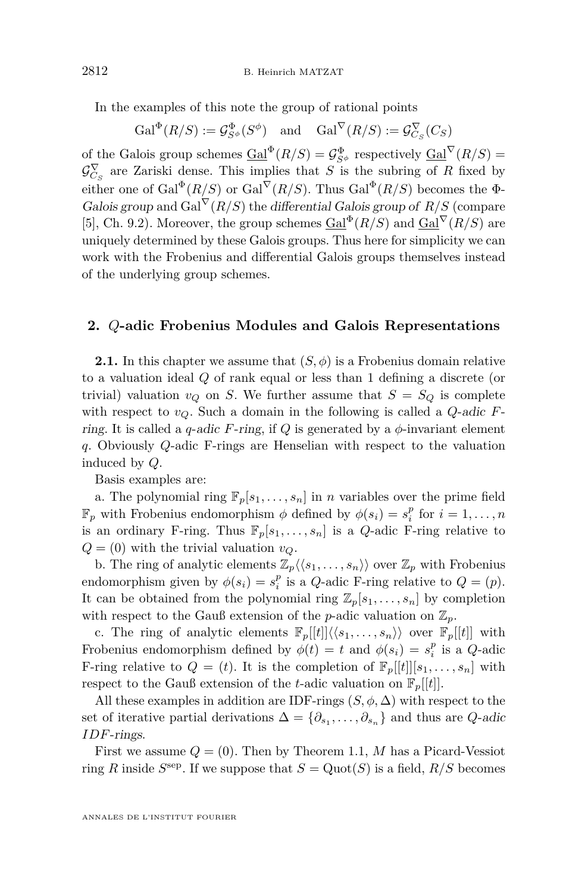In the examples of this note the group of rational points

 $Gal^{\Phi}(R/S) := \mathcal{G}_{S^{\phi}}^{\Phi}(S^{\phi})$  and  $Gal^{\nabla}(R/S) := \mathcal{G}_{C_S}^{\nabla}(C_S)$ 

of the Galois group schemes  $\underline{Gal}^{\Phi}(R/S) = \mathcal{G}_{S^{\phi}}^{\Phi}$  respectively  $\underline{Gal}^{\nabla}(R/S) =$  $\mathcal{G}_{C_S}^{\nabla}$  are Zariski dense. This implies that *S* is the subring of *R* fixed by either one of  $Gal^{\Phi}(R/S)$  or  $Gal^{\nabla}(R/S)$ . Thus  $Gal^{\Phi}(R/S)$  becomes the  $\Phi$ -Galois group and  $Gal^{\nabla}(R/S)$  the differential Galois group of  $R/S$  (compare [\[5\]](#page-14-0), Ch. 9.2). Moreover, the group schemes  $Gal^{\Phi}(R/S)$  and  $Gal^{\nabla}(R/S)$  are uniquely determined by these Galois groups. Thus here for simplicity we can work with the Frobenius and differential Galois groups themselves instead of the underlying group schemes.

#### **2.** *Q***-adic Frobenius Modules and Galois Representations**

**2.1.** In this chapter we assume that  $(S, \phi)$  is a Frobenius domain relative to a valuation ideal *Q* of rank equal or less than 1 defining a discrete (or trivial) valuation  $v_Q$  on *S*. We further assume that  $S = S_Q$  is complete with respect to *vQ*. Such a domain in the following is called a *Q*-adic *F*ring. It is called a *q*-adic *F*-ring, if *Q* is generated by a  $\phi$ -invariant element *q*. Obviously *Q*-adic F-rings are Henselian with respect to the valuation induced by *Q*.

Basis examples are:

a. The polynomial ring  $\mathbb{F}_p[s_1, \ldots, s_n]$  in *n* variables over the prime field  $\mathbb{F}_p$  with Frobenius endomorphism  $\phi$  defined by  $\phi(s_i) = s_i^p$  for  $i = 1, \ldots, n$ is an ordinary F-ring. Thus  $\mathbb{F}_p[s_1,\ldots,s_n]$  is a *Q*-adic F-ring relative to  $Q = (0)$  with the trivial valuation  $v_Q$ .

b. The ring of analytic elements  $\mathbb{Z}_p\langle\langle s_1,\ldots,s_n\rangle\rangle$  over  $\mathbb{Z}_p$  with Frobenius endomorphism given by  $\phi(s_i) = s_i^p$  is a *Q*-adic F-ring relative to  $Q = (p)$ . It can be obtained from the polynomial ring  $\mathbb{Z}_p[s_1,\ldots,s_n]$  by completion with respect to the Gauß extension of the *p*-adic valuation on  $\mathbb{Z}_p$ .

c. The ring of analytic elements  $\mathbb{F}_p[[t]]\langle\langle s_1,\ldots,s_n\rangle\rangle$  over  $\mathbb{F}_p[[t]]$  with Frobenius endomorphism defined by  $\phi(t) = t$  and  $\phi(s_i) = s_i^p$  is a *Q*-adic F-ring relative to  $Q = (t)$ . It is the completion of  $\mathbb{F}_p[[t]][s_1, \ldots, s_n]$  with respect to the Gauß extension of the *t*-adic valuation on  $\mathbb{F}_p[[t]]$ .

All these examples in addition are IDF-rings  $(S, \phi, \Delta)$  with respect to the set of iterative partial derivations  $\Delta = {\partial_{s_1}, \ldots, \partial_{s_n}}$  and thus are *Q*-adic *IDF*-rings.

First we assume  $Q = (0)$ . Then by Theorem [1.1,](#page-4-0) M has a Picard-Vessiot ring *R* inside  $S^{\text{sep}}$ . If we suppose that  $S = \text{Quot}(S)$  is a field,  $R/S$  becomes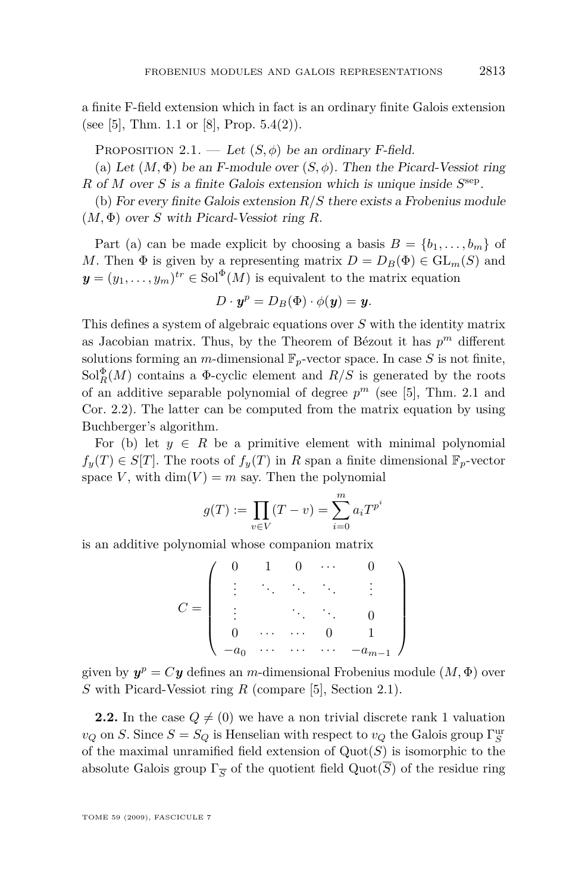a finite F-field extension which in fact is an ordinary finite Galois extension (see [\[5\]](#page-14-0), Thm. 1.1 or [\[8\]](#page-14-0), Prop.  $5.4(2)$ ).

PROPOSITION 2.1. — Let  $(S, \phi)$  be an ordinary F-field.

(a) Let  $(M, \Phi)$  be an F-module over  $(S, \phi)$ . Then the Picard-Vessiot ring *R* of *M* over *S* is a finite Galois extension which is unique inside  $S^{\text{sep}}$ .

(b) For every finite Galois extension *R/S* there exists a Frobenius module (*M,* Φ) over *S* with Picard-Vessiot ring *R*.

Part (a) can be made explicit by choosing a basis  $B = \{b_1, \ldots, b_m\}$  of *M*. Then  $\Phi$  is given by a representing matrix  $D = D_B(\Phi) \in GL_m(S)$  and  $y = (y_1, \ldots, y_m)^{tr} \in Sol^{\Phi}(M)$  is equivalent to the matrix equation

$$
D\cdot \boldsymbol{y}^p=D_B(\Phi)\cdot \phi(\boldsymbol{y})=\boldsymbol{y}.
$$

This defines a system of algebraic equations over *S* with the identity matrix as Jacobian matrix. Thus, by the Theorem of Bézout it has  $p^m$  different solutions forming an  $m$ -dimensional  $\mathbb{F}_p$ -vector space. In case  $S$  is not finite,  $Sol_R^{\Phi}(M)$  contains a  $\Phi$ -cyclic element and  $R/S$  is generated by the roots of an additive separable polynomial of degree  $p^m$  (see [\[5\]](#page-14-0), Thm. 2.1 and Cor. 2.2). The latter can be computed from the matrix equation by using Buchberger's algorithm.

For (b) let  $y \in R$  be a primitive element with minimal polynomial  $f_y(T) \in S[T]$ . The roots of  $f_y(T)$  in *R* span a finite dimensional  $\mathbb{F}_p$ -vector space *V*, with  $\dim(V) = m$  say. Then the polynomial

$$
g(T) := \prod_{v \in V} (T - v) = \sum_{i=0}^{m} a_i T^{p^i}
$$

is an additive polynomial whose companion matrix

$$
C = \left( \begin{array}{ccccc} 0 & 1 & 0 & \cdots & 0 \\ \vdots & \ddots & \ddots & \ddots & \vdots \\ \vdots & & \ddots & \ddots & 0 \\ 0 & \cdots & \cdots & 0 & 1 \\ -a_0 & \cdots & \cdots & \cdots & -a_{m-1} \end{array} \right)
$$

given by  $y^p = Cy$  defines an *m*-dimensional Frobenius module  $(M, \Phi)$  over *S* with Picard-Vessiot ring *R* (compare [\[5\]](#page-14-0), Section 2.1).

**2.2.** In the case  $Q \neq (0)$  we have a non trivial discrete rank 1 valuation  $v_Q$  on *S*. Since  $S = S_Q$  is Henselian with respect to  $v_Q$  the Galois group  $\Gamma_S^{\text{ur}}$ of the maximal unramified field extension of Quot(*S*) is isomorphic to the absolute Galois group  $\Gamma_{\overline{S}}$  of the quotient field  $\mathrm{Quot}(S)$  of the residue ring

TOME 59 (2009), FASCICULE 7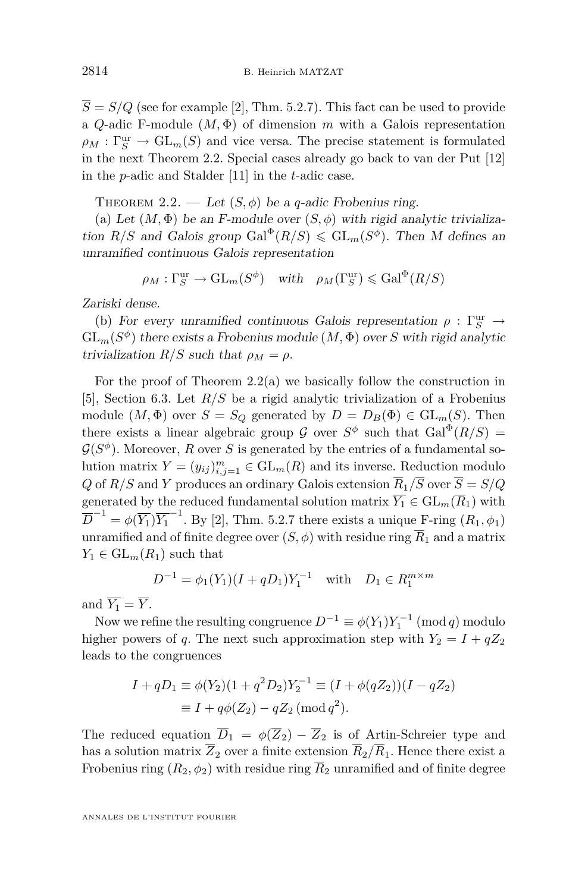<span id="page-10-0"></span> $\overline{S} = S/Q$  (see for example [\[2\]](#page-14-0), Thm. 5.2.7). This fact can be used to provide a *Q*-adic F-module  $(M, \Phi)$  of dimension *m* with a Galois representation  $\rho_M : \Gamma_S^{\text{ur}} \to \text{GL}_m(S)$  and vice versa. The precise statement is formulated in the next Theorem 2.2. Special cases already go back to van der Put [\[12\]](#page-14-0) in the *p*-adic and Stalder [\[11\]](#page-14-0) in the *t*-adic case.

THEOREM 2.2. — Let  $(S, \phi)$  be a *q*-adic Frobenius ring.

(a) Let  $(M, \Phi)$  be an F-module over  $(S, \phi)$  with rigid analytic trivialization  $R/S$  and Galois group  $Gal^{\Phi}(R/S) \leqslant GL_m(S^{\phi})$ . Then M defines an unramified continuous Galois representation

$$
\rho_M : \Gamma_S^{\text{ur}} \to \text{GL}_m(S^{\phi})
$$
 with  $\rho_M(\Gamma_S^{\text{ur}}) \leq \text{Gal}^{\Phi}(R/S)$ 

Zariski dense.

(b) For every unramified continuous Galois representation  $\rho$  :  $\Gamma_S^{\text{ur}}$   $\rightarrow$  $\operatorname{GL}_m(S^\phi)$  there exists a Frobenius module  $(M, \Phi)$  over  $S$  with rigid analytic trivialization  $R/S$  such that  $\rho_M = \rho$ .

For the proof of Theorem 2.2(a) we basically follow the construction in [\[5\]](#page-14-0), Section 6.3. Let *R/S* be a rigid analytic trivialization of a Frobenius module  $(M, \Phi)$  over  $S = S_Q$  generated by  $D = D_B(\Phi) \in GL_m(S)$ . Then there exists a linear algebraic group  $\mathcal G$  over  $S^{\phi}$  such that  $Gal^{\Phi}(R/S)$  =  $G(S^{\phi})$ . Moreover, *R* over *S* is generated by the entries of a fundamental solution matrix  $Y = (y_{ij})_{i,j=1}^m \in GL_m(R)$  and its inverse. Reduction modulo *Q* of *R/S* and *Y* produces an ordinary Galois extension  $\overline{R}_1/\overline{S}$  over  $\overline{S} = S/Q$ generated by the reduced fundamental solution matrix  $\overline{Y_1} \in GL_m(\overline{R}_1)$  with  $\overline{D}^{-1} = \phi(\overline{Y_1}) \overline{Y_1}^{-1}$ . By [\[2\]](#page-14-0), Thm. 5.2.7 there exists a unique F-ring  $(R_1, \phi_1)$ unramified and of finite degree over  $(S, \phi)$  with residue ring  $\overline{R}_1$  and a matrix  $Y_1 \in GL_m(R_1)$  such that

$$
D^{-1} = \phi_1(Y_1)(I + qD_1)Y_1^{-1} \text{ with } D_1 \in R_1^{m \times m}
$$

and  $\overline{Y_1} = \overline{Y}$ .

Now we refine the resulting congruence  $D^{-1} \equiv \phi(Y_1)Y_1^{-1} \pmod{q}$  modulo higher powers of *q*. The next such approximation step with  $Y_2 = I + qZ_2$ leads to the congruences

$$
I + qD_1 \equiv \phi(Y_2)(1 + q^2 D_2)Y_2^{-1} \equiv (I + \phi(qZ_2))(I - qZ_2)
$$
  

$$
\equiv I + q\phi(Z_2) - qZ_2 \pmod{q^2}.
$$

The reduced equation  $\overline{D}_1 = \phi(\overline{Z}_2) - \overline{Z}_2$  is of Artin-Schreier type and has a solution matrix  $\overline{Z}_2$  over a finite extension  $\overline{R}_2/\overline{R}_1$ . Hence there exist a Frobenius ring  $(R_2, \phi_2)$  with residue ring  $\overline{R}_2$  unramified and of finite degree

ANNALES DE L'INSTITUT FOURIER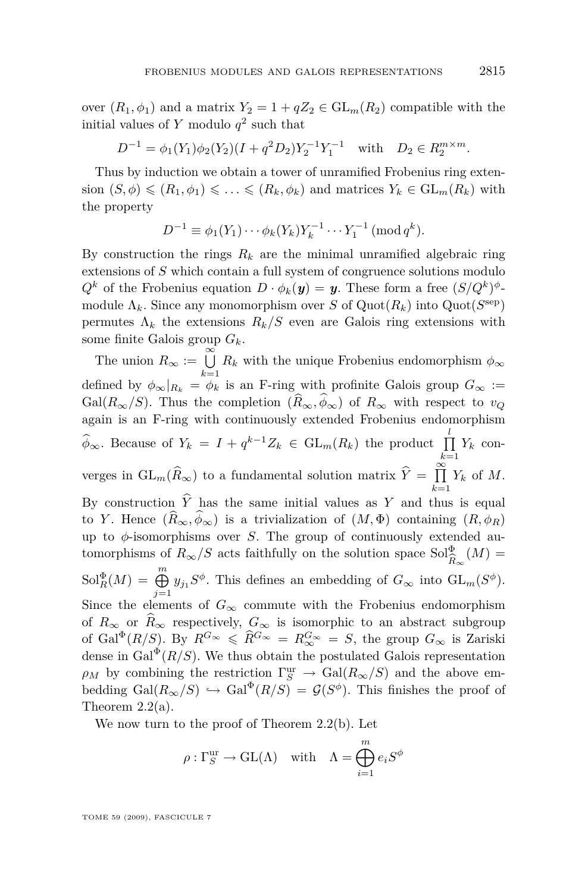over  $(R_1, \phi_1)$  and a matrix  $Y_2 = 1 + qZ_2 \in GL_m(R_2)$  compatible with the initial values of *Y* modulo *q* 2 such that

$$
D^{-1} = \phi_1(Y_1)\phi_2(Y_2)(I + q^2D_2)Y_2^{-1}Y_1^{-1} \text{ with } D_2 \in R_2^{m \times m}.
$$

Thus by induction we obtain a tower of unramified Frobenius ring extension  $(S, \phi) \leq R_1, \phi_1) \leq \ldots \leq (R_k, \phi_k)$  and matrices  $Y_k \in GL_m(R_k)$  with the property

$$
D^{-1} \equiv \phi_1(Y_1) \cdots \phi_k(Y_k) Y_k^{-1} \cdots Y_1^{-1} \; (\text{mod } q^k).
$$

By construction the rings  $R_k$  are the minimal unramified algebraic ring extensions of *S* which contain a full system of congruence solutions modulo  $Q^k$  of the Frobenius equation  $D \cdot \phi_k(y) = y$ . These form a free  $(S/Q^k)^{\phi}$ module  $\Lambda_k$ . Since any monomorphism over *S* of  $\text{Quot}(R_k)$  into  $\text{Quot}(S^{\text{sep}})$ permutes  $\Lambda_k$  the extensions  $R_k/S$  even are Galois ring extensions with some finite Galois group *Gk*.

The union  $R_{\infty} := \bigcup_{k=1}^{\infty} R_k$  with the unique Frobenius endomorphism  $\phi_{\infty}$ defined by  $\phi_{\infty}|_{R_k} = \phi_k$  is an F-ring with profinite Galois group  $G_{\infty}$  := Gal( $R_{\infty}/S$ ). Thus the completion  $(\widehat{R}_{\infty}, \widehat{\phi}_{\infty})$  of  $R_{\infty}$  with respect to  $v_Q$ again is an F-ring with continuously extended Frobenius endomorphism  $\hat{\phi}_{\infty}$ . Because of  $Y_k = I + q^{k-1}Z_k \in GL_m(R_k)$  the product  $\prod_{k=1}^l$  $\prod_{k=1} Y_k$  converges in  $GL_m(\widehat{R}_{\infty})$  to a fundamental solution matrix  $\widehat{Y} = \prod_{k=1}^{\infty}$  $\prod_{k=1} Y_k$  of *M*. By construction  $\hat{Y}$  has the same initial values as *Y* and thus is equal to *Y*. Hence  $(\widehat{R}_{\infty}, \widehat{\phi}_{\infty})$  is a trivialization of  $(M, \Phi)$  containing  $(R, \phi_R)$ up to  $\phi$ -isomorphisms over *S*. The group of continuously extended automorphisms of  $R_{\infty}/S$  acts faithfully on the solution space  $Sol_{\widehat{\rho}}^{\Phi}$  (*M*) =  $R$ <sup>∞</sup>∞  $\text{Sol}_R^{\Phi}(M) = \bigoplus_{j=1}^m y_{j_1} S^{\phi}$ . This defines an embedding of  $G_{\infty}$  into  $\text{GL}_m(S^{\phi})$ . Since the elements of  $G_{\infty}$  commute with the Frobenius endomorphism of  $R_\infty$  or  $\widehat{R}_\infty$  respectively,  $G_\infty$  is isomorphic to an abstract subgroup of Gal<sup> $\Phi$ </sup>(*R*/*S*). By  $R^{G_{\infty}} \leq R^{G_{\infty}} = R^{G_{\infty}} \geq S$ , the group  $G_{\infty}$  is Zariski dense in  $Gal^{\Phi}(R/S)$ . We thus obtain the postulated Galois representation  $\rho_M$  by combining the restriction  $\Gamma_S^{\text{ur}} \to \text{Gal}(R_\infty/S)$  and the above embedding  $Gal(R_{\infty}/S) \hookrightarrow Gal^{\Phi}(R/S) = \mathcal{G}(S^{\phi})$ . This finishes the proof of Theorem [2.2\(](#page-10-0)a).

We now turn to the proof of Theorem [2.2\(](#page-10-0)b). Let

$$
\rho: \Gamma_S^{\text{ur}} \to \text{GL}(\Lambda) \quad \text{with} \quad \Lambda = \bigoplus_{i=1}^m e_i S^{\phi}
$$

TOME 59 (2009), FASCICULE 7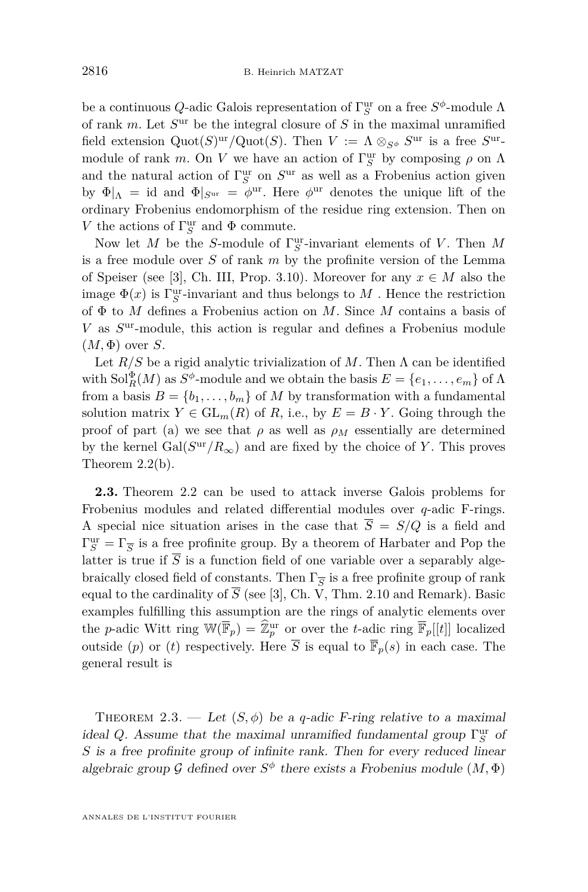<span id="page-12-0"></span>be a continuous *Q*-adic Galois representation of  $\Gamma_S^{\text{ur}}$  on a free  $S^{\phi}$ -module  $\Lambda$ of rank *m*. Let  $S<sup>ur</sup>$  be the integral closure of S in the maximal unramified field extension  $Quot(S)^{ur}/Quot(S)$ . Then  $V := \Lambda \otimes_{S^{\phi}} S^{ur}$  is a free  $S^{ur}$ module of rank *m*. On *V* we have an action of  $\Gamma_S^{\text{ur}}$  by composing  $\rho$  on  $\Lambda$ and the natural action of  $\Gamma_S^{\text{ur}}$  on  $S^{\text{ur}}$  as well as a Frobenius action given by  $\Phi|_{\Lambda}$  = id and  $\Phi|_{S^{ur}} = \phi^{ur}$ . Here  $\phi^{ur}$  denotes the unique lift of the ordinary Frobenius endomorphism of the residue ring extension. Then on *V* the actions of  $\Gamma_S^{\text{ur}}$  and  $\Phi$  commute.

Now let *M* be the *S*-module of Γ ur *S* -invariant elements of *V* . Then *M* is a free module over *S* of rank *m* by the profinite version of the Lemma of Speiser (see [\[3\]](#page-14-0), Ch. III, Prop. 3.10). Moreover for any  $x \in M$  also the image  $\Phi(x)$  is  $\Gamma_S^{\mathrm{ur}}$ -invariant and thus belongs to  $M$  . Hence the restriction of Φ to *M* defines a Frobenius action on *M*. Since *M* contains a basis of *V* as *S* ur-module, this action is regular and defines a Frobenius module  $(M, \Phi)$  over *S*.

Let  $R/S$  be a rigid analytic trivialization of M. Then  $\Lambda$  can be identified with  $\text{Sol}_R^{\Phi}(M)$  as  $S^{\phi}$ -module and we obtain the basis  $E = \{e_1, \ldots, e_m\}$  of  $\Lambda$ from a basis  $B = \{b_1, \ldots, b_m\}$  of *M* by transformation with a fundamental solution matrix  $Y \in GL_m(R)$  of  $R$ , i.e., by  $E = B \cdot Y$ . Going through the proof of part (a) we see that  $\rho$  as well as  $\rho_M$  essentially are determined by the kernel  $Gal(S^{\text{ur}}/R_{\infty})$  and are fixed by the choice of Y. This proves Theorem [2.2\(](#page-10-0)b).

**2.3.** Theorem [2.2](#page-10-0) can be used to attack inverse Galois problems for Frobenius modules and related differential modules over *q*-adic F-rings. A special nice situation arises in the case that  $\overline{S} = S/Q$  is a field and  $\Gamma_S^{\text{ur}} = \Gamma_{\overline{S}}$  is a free profinite group. By a theorem of Harbater and Pop the latter is true if  $\overline{S}$  is a function field of one variable over a separably algebraically closed field of constants. Then  $\Gamma_{\overline{S}}$  is a free profinite group of rank equal to the cardinality of  $\overline{S}$  (see [\[3\]](#page-14-0), Ch. V, Thm. 2.10 and Remark). Basic examples fulfilling this assumption are the rings of analytic elements over the *p*-adic Witt ring  $\mathbb{W}(\overline{\mathbb{F}}_p) = \widehat{\mathbb{Z}}_p^{\text{ur}}$  or over the *t*-adic ring  $\overline{\mathbb{F}}_p[[t]]$  localized outside (*p*) or (*t*) respectively. Here  $\overline{S}$  is equal to  $\overline{\mathbb{F}}_p(s)$  in each case. The general result is

THEOREM 2.3. — Let  $(S, \phi)$  be a *q*-adic F-ring relative to a maximal *ideal Q.* Assume that the maximal unramified fundamental group  $\Gamma_S^{\text{ur}}$  of *S* is a free profinite group of infinite rank. Then for every reduced linear algebraic group  $\mathcal G$  defined over  $S^{\phi}$  there exists a Frobenius module  $(M, \Phi)$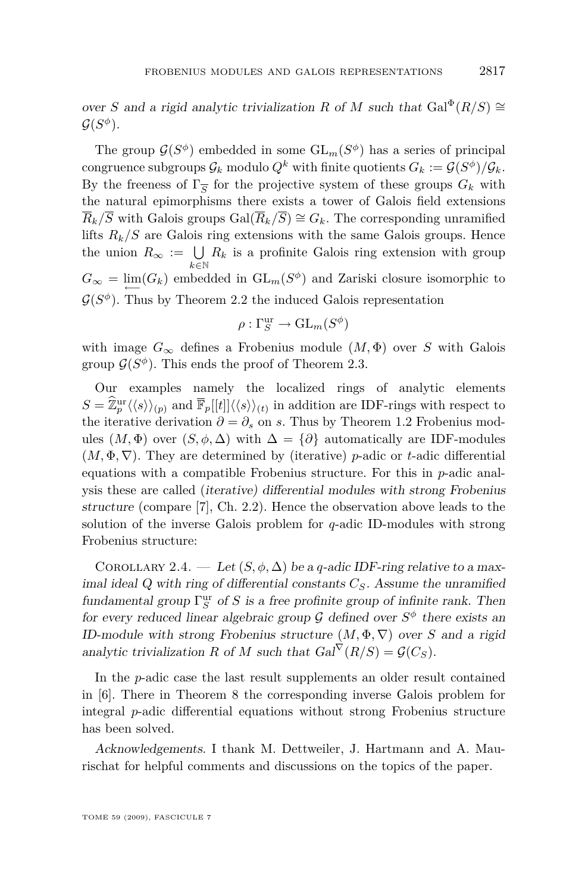over *S* and a rigid analytic trivialization *R* of *M* such that  $Gal^{\Phi}(R/S) \cong$  $\mathcal{G}(S^\phi).$ 

The group  $\mathcal{G}(S^{\phi})$  embedded in some  $\mathrm{GL}_m(S^{\phi})$  has a series of principal congruence subgroups  $\mathcal{G}_k$  modulo  $Q^k$  with finite quotients  $G_k := \mathcal{G}(S^{\phi})/\mathcal{G}_k$ . By the freeness of  $\Gamma_{\overline{S}}$  for the projective system of these groups  $G_k$  with the natural epimorphisms there exists a tower of Galois field extensions  $\overline{R}_k/\overline{S}$  with Galois groups  $Gal(\overline{R}_k/\overline{S}) \cong G_k$ . The corresponding unramified lifts  $R_k/S$  are Galois ring extensions with the same Galois groups. Hence the union  $R_{\infty} := \bigcup_{k \in \mathbb{N}} R_k$  is a profinite Galois ring extension with group  $G_{\infty} = \lim_{\longleftarrow} (G_k)$  embedded in  $\text{GL}_m(S^{\phi})$  and Zariski closure isomorphic to  $G(S^{\phi})$ . Thus by Theorem [2.2](#page-10-0) the induced Galois representation

$$
\rho : \Gamma_S^{\text{ur}} \to \text{GL}_m(S^{\phi})
$$

with image  $G_{\infty}$  defines a Frobenius module  $(M, \Phi)$  over *S* with Galois group  $\mathcal{G}(S^{\phi})$ . This ends the proof of Theorem [2.3.](#page-12-0)

Our examples namely the localized rings of analytic elements  $S = \hat{\mathbb{Z}}_p^{\text{ur}} \langle \langle s \rangle \rangle_{(p)}$  and  $\overline{\mathbb{F}}_p[[t]] \langle \langle s \rangle \rangle_{(t)}$  in addition are IDF-rings with respect to the iterative derivation  $\partial = \partial_s$  on *s*. Thus by Theorem [1.2](#page-6-0) Frobenius modules  $(M, \Phi)$  over  $(S, \phi, \Delta)$  with  $\Delta = {\partial}$  automatically are IDF-modules (*M,* Φ*, ∇*). They are determined by (iterative) *p*-adic or *t*-adic differential equations with a compatible Frobenius structure. For this in *p*-adic analysis these are called (iterative) differential modules with strong Frobenius structure (compare [\[7\]](#page-14-0), Ch. 2.2). Hence the observation above leads to the solution of the inverse Galois problem for *q*-adic ID-modules with strong Frobenius structure:

COROLLARY 2.4. — Let  $(S, \phi, \Delta)$  be a *q*-adic IDF-ring relative to a maximal ideal Q with ring of differential constants *CS*. Assume the unramified fundamental group  $\Gamma_S^{\text{ur}}$  of *S* is a free profinite group of infinite rank. Then for every reduced linear algebraic group  $\mathcal G$  defined over  $S^{\phi}$  there exists an ID-module with strong Frobenius structure  $(M, \Phi, \nabla)$  over *S* and a rigid analytic trivialization *R* of *M* such that  $Gal^{\nabla}(R/S) = \mathcal{G}(C_S)$ .

In the *p*-adic case the last result supplements an older result contained in [\[6\]](#page-14-0). There in Theorem 8 the corresponding inverse Galois problem for integral *p*-adic differential equations without strong Frobenius structure has been solved.

Acknowledgements. I thank M. Dettweiler, J. Hartmann and A. Maurischat for helpful comments and discussions on the topics of the paper.